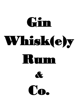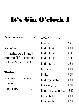### It's Gin O'clock I

| Tages Gin und Tonic             | 5.50                         | England                          | 4 cl |      |
|---------------------------------|------------------------------|----------------------------------|------|------|
|                                 |                              | Beefeater                        |      | 5.50 |
| Auswahl mit                     |                              | <b>Bombay Sapphire</b>           |      | 8,50 |
|                                 | Gurke, Zitrone, Orange, Ros- | <b>Bombay Bramble</b>            |      | 5,50 |
| marin, rosa Pfeffer, gemahlener |                              | <b>Bombay Dry Gin</b>            |      | 5,50 |
| Kardamon, Saisonale Früchte     |                              | Boodles (Maulbeere)              |      | 8,50 |
|                                 |                              | <b>Brockmans</b>                 |      | 8,50 |
| Tonics                          |                              | Bulldog                          |      | 6,50 |
| Schweppes                       | kein Aufpreis                | Cambridge Distillery             |      | 8,50 |
| <b>Fever</b> Tree               | 2,00                         | Chase (Very Dry)                 |      | 6,50 |
| Thomas Henry                    | 2,00                         | Chase (Pink Grapefruit & Pomelo) |      | 6,50 |
|                                 |                              | Cotswolds Dry                    |      | 8.50 |
|                                 |                              |                                  |      |      |

Cucumber Gin 8,50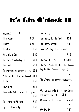# It's Gin O'clock II

| England                                | 4 cl |      | Tanqueray                                                            | 5,50 |
|----------------------------------------|------|------|----------------------------------------------------------------------|------|
| <b>Fifty Pounds</b>                    |      | 8,50 | Tanqueray flor de Sevilla                                            | 6,50 |
| Fisher's                               |      | 8,50 | Tanqueray Rangpur                                                    | 8,50 |
| <b>Hendricks</b>                       |      | 8,50 | Tarquin's (Dry; Blaubeere; Seadog)                                   |      |
| Holy Island Gin                        |      | 8,50 |                                                                      | 7.50 |
| Gordon's (London Dry; Pink)            |      | 5,50 | The Kempton (Parma Violet)                                           | 6,50 |
| Greenall's                             |      | 5,50 | The New Castle Distillery Co. (London                                |      |
| Gunroom (in Whiskyfass gereift)        |      | 6,50 | Dry Gin; Pink; Rhababar & Ingwer)                                    |      |
| MOM God Save the Gin (Beere)           |      | 8,50 |                                                                      | 8,50 |
| Opihr                                  |      | 8,50 | The Wrecking Coast (clotted cream)                                   |      |
| Plymouth                               |      | 5,50 |                                                                      | 8,50 |
| Riverside (Salted Caramel Gin Liqueur) |      | 8,50 | Warner Edwards (Elderflower; Botani-<br>8,50<br>cal Garden; Dry Gin) |      |
| Rokerby's Half Grown                   |      | 8,50 | Wheadon's (Guernsay—Pink Grapefruit)                                 | 8,50 |
| Spirit of Cambrdige                    |      | 8,50 | Whitley Neill                                                        | 6,50 |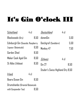# It's Gin O'clock III

| <b>Schottland</b>                 | $4$ cl |      | Deutschland                      | $4$ cl |      |
|-----------------------------------|--------|------|----------------------------------|--------|------|
| Blackwoods (Dry)                  |        | 8,50 | dünenGin                         |        | 5,50 |
| Edinburgh Gin (Seaside; Raspberry |        |      | Deichgraf (Sanddorn)             |        | 5,50 |
| Liqueur; Botanicals)              |        | 6,50 | Monkey 47                        |        | 7,50 |
| Garden Shed                       |        | 8,50 |                                  |        |      |
| Makar Cask Aged Gin               |        | 8,50 | Schweiz                          | $4$ cl |      |
| <b>St Abbs Lifeboat</b>           |        | 8,50 | <b>Gin 27</b>                    |        | 8,50 |
|                                   |        |      | Studer's Swiss Highland Dry 8,50 |        |      |
| <b>Irland</b>                     | $4$ cl |      |                                  |        |      |
| Beara Ocean Gin                   |        | 8,50 |                                  |        |      |
| Drumshanbo (Oriental Botanicals   |        |      |                                  |        |      |
| with Gunpowder Tea)               |        | 8,50 |                                  |        |      |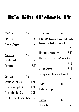### It's Gin O'clock IV

| Finnland                          | $4$ cl |         | Dänemark                             | 4 cl   |      |
|-----------------------------------|--------|---------|--------------------------------------|--------|------|
| <b>Tenu Gin</b>                   |        | 8,50    | Ginscape (Summer Orchard Botanicals; |        |      |
| Koskue (Roggen)                   |        | 8,50    | London Dry; Sea Buckthorn Berries)   |        |      |
|                                   |        |         |                                      |        | 6,50 |
| Norwegen                          | $4$ cl |         | Møllerup (Organic Hemp)              |        | 8,50 |
| Harahorn (Pink)                   |        | 6,50    | Østersøns Brænderi (Premium Dry)     |        |      |
|                                   |        |         |                                      |        | 7,50 |
| Skagerrak                         |        | 8,50    | Stone Grange                         |        | 7,50 |
|                                   |        |         | Tranquebar Christmas Spiced          |        |      |
| Schweden                          | $4$ cl |         |                                      |        | 8,50 |
| Nordic Spirits Lab                |        | 6,50    | Island                               | $4$ cl |      |
| Plateau Tranquillité              |        | 8,50    | Icelandic Eagle                      |        | 8,50 |
| Plateau London Dry                |        | 8,50    |                                      |        |      |
| Spirit of Hven Backafallsbyn 9,50 |        | Litauen | 4 cl                                 |        |      |
|                                   |        |         | Thorn Gin                            |        | 8.50 |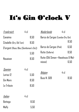# It's Gin O'clock V

| Frankreich                              | $4$ cl |      | Niederlande                       | $4$ cl |      |
|-----------------------------------------|--------|------|-----------------------------------|--------|------|
| Canaïma                                 |        | 8,50 | Barco de Cargas (London Dry Gin)  |        |      |
| Citadelle (Dry; Old Tom)                |        | 8,50 |                                   |        | 8,50 |
| D'argent (Rose; Bleu (Gentleman's Gin)) |        |      | Barco de Cargas (Pink)            |        | 6,50 |
|                                         |        | 5,50 | Rutte (Sellerie)                  |        | 8,50 |
| Nouaison                                |        | 8,50 | Rutte (Old Simon—Haselnuss & Wal- |        |      |
|                                         |        |      | nüsse)                            |        | 6,50 |
| <u>Spanien</u>                          | $4$ cl |      |                                   |        |      |
| Larios 12                               |        | 5,50 | <u>Belgien</u>                    | $4$ cl |      |
| Gin Mare                                |        | 8,50 | <b>Buss N. 509</b>                |        | 8,50 |
| Le Tribute                              |        | 8,50 |                                   |        |      |
|                                         |        |      |                                   |        |      |
| ltalien                                 | 4 cl   |      |                                   |        |      |
| Bottega                                 |        | 8,50 |                                   |        |      |
| Malfy                                   |        | 5,50 |                                   |        |      |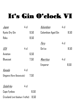### It's Gin O'clock VI

| <u>Japan</u>                    | $4$ cl |      | Kolumbien          | $4$ cl |      |
|---------------------------------|--------|------|--------------------|--------|------|
| Kyoto Dry Gin                   |        | 9,50 | Colombian Aged Gin |        | 8,50 |
| Roku                            |        | 8,50 |                    |        |      |
|                                 |        |      | Peru               | $4$ cl |      |
| <u>USA</u>                      | $4$ cl |      | Gin'ca             |        | 8,50 |
| Aviation                        |        | 6,50 |                    |        |      |
| Bluecoat                        |        | 7,50 | Mauritius          | 4 cl   |      |
|                                 |        |      | Emperor            |        | 8,50 |
| Kanada                          | 4 cl   |      |                    |        |      |
| Ungava (Rare Botanicals)        |        | 7,50 |                    |        |      |
|                                 |        |      |                    |        |      |
| Südafrika                       | $4$ cl |      |                    |        |      |
| Cape Fynbos                     |        | 8,50 |                    |        |      |
| Cruxland (mit Kalahari Trüffel) |        | 8,50 |                    |        |      |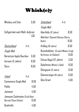### Whisk(e)y

| Whiskey und Cola                                                |        | 5,50 | Schottland                                 | $4$ cl |
|-----------------------------------------------------------------|--------|------|--------------------------------------------|--------|
|                                                                 |        |      | Single Malt                                |        |
| Softgetränk nach Wahl <i>Aufpreis</i>                           |        |      | Aberfeldy (12 Jahre)                       | 8,50   |
|                                                                 |        | 1,50 | Aberlour (Spanish Oloroso Sherry<br>Butts) | 8,50   |
| <u>Deutschland</u>                                              | $4$ cl |      | Ardbeg (10 Jahre)                          | 8,50   |
| Single Malt                                                     |        |      | Bunnahabhain (Cruach-Mhòna; Eirigh         |        |
| Berentzen Apple Bourbon                                         |        | 5,50 | Na Greine; An Cladach)                     | 8,50   |
| Aureum (5 Jahre)                                                |        | 6,50 | Chivas Regal (12 Jahre)                    | 5,50   |
| Slyrs                                                           |        | 8,50 | Dalwhinnie (Winter's Gold)                 | 8,50   |
|                                                                 |        |      | Glengoyne (12 Jahre)                       | 6,50   |
| Irland                                                          | 4 cl   |      | Glenmorangie (10 Jahre)                    | 6,50   |
| Connemara Single Malt                                           |        | 8,50 | Glen Grant                                 | 4,50   |
| Paddy                                                           |        | 4,50 |                                            |        |
| Jameson                                                         |        | 4,50 |                                            |        |
| Jameson Caskmates (Craft Beer<br>6,50<br>Barrels/Stout Edition) |        |      |                                            |        |
| Bushmills                                                       |        | 4,50 |                                            |        |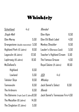### Whisk(e)y

| <b>Schottland</b>                        | $4$ cl | Blended                           |       |
|------------------------------------------|--------|-----------------------------------|-------|
| Single Malt                              |        | Glen Alpin                        | 6,50  |
| Glen Moray                               | 5,50   | Glen Elk Black Label              | 4,50  |
| Lirangestone (double maturation) 5,50    |        | Monkey Shoulder                   | 6,50  |
| Highland Park (12 Jahre)                 | 8,50   | Lauder's (Olorosco Cask)          | 5,50  |
| Lagavulin (16 Jahre)                     | 12,50  | Teacher's Highland Cream          | 5,50  |
| Laphroaig (10 Jahre)                     | 8,50   | The Famous Grouse                 | 4,50  |
| McClelland's                             |        | Royal Salute (21 Jahre)           | 18,50 |
| Highland                                 | 6,50   |                                   |       |
| Lowland                                  | 5,50   | 4 cl<br>USA                       |       |
| Talisker Skye                            | 8,50   | Whiskey                           |       |
| Tamnavulin                               | 6,50   | Jack Daniel's Select              | 6,50  |
| The Ardmore                              | 6,50   | Blends                            |       |
| The Balvenie (Triple Cask 12 Jahre) 8,50 |        | Jack Daniel's Tennessee Fire 4,50 |       |
| The Macallan (10 Jahre)                  | 14,50  |                                   |       |
| The Singleton (12 Jahre)                 | 5,50   |                                   |       |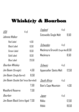#### Whisk(e)y & Bourbon

| USA                                                                                      | $4$ cl                                | England                                                    | 4 cl   |       |
|------------------------------------------------------------------------------------------|---------------------------------------|------------------------------------------------------------|--------|-------|
| Johnnie Walker                                                                           |                                       | Cotswolds Single Malt                                      |        | 9,50  |
| <b>Red Label</b><br><b>Black Label</b><br>Green Label<br>Gold Label<br><b>Blue Label</b> | 4,50<br>6,50<br>8,50<br>8,50<br>23.50 | Schweden<br>Mackmyra Gruvuld (Single Malt)8,50<br>Mackmyra | 4 cl   | 8,50  |
| Bourbon Whiskey                                                                          |                                       | Schweiz                                                    | $4$ cl |       |
| Jim Beam (Straight)                                                                      | 4,50                                  | Appenzeller Säntis Malt                                    |        | 12,50 |
| Jim Beam (Single Barrel)                                                                 | 8,50                                  |                                                            |        |       |
| Jim Beam (Double Oak Twice Barreled)                                                     |                                       | South Africa                                               | $4$ cl |       |
|                                                                                          | 7,50                                  | Bain's Cape Mountain                                       |        | 4.50  |
| Woodford Reserve                                                                         | 7,50                                  |                                                            |        |       |
| Bourbon                                                                                  |                                       | Japan                                                      | 4 cl   |       |
| Jim Beam Black Extra-Aged 7,50                                                           |                                       | Nikka                                                      |        | 12.50 |
|                                                                                          |                                       | Hibiki                                                     |        | 18,50 |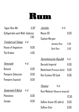# Rum

| Tages Rum Mix                         |        | 5,50 | Jamaika                        | $4$ cl                         |       |
|---------------------------------------|--------|------|--------------------------------|--------------------------------|-------|
| Softgetränk nach Wahl <i>Aufpreis</i> |        |      | Mezan XO                       |                                | 8,50  |
| Trinidad und Tobago                   | 4 cl   | 1,50 | Captain Morgan                 |                                |       |
|                                       |        |      |                                | Jamaica Rum                    | 5,50  |
| House of Angostura                    |        | 8,50 |                                | Dark Rum                       | 5,50  |
| The Kraken                            |        | 4,50 |                                |                                |       |
|                                       |        |      | <u>Dominikanische Republik</u> |                                | 4 cl  |
| Venezuela                             | $4$ cl |      | Barceló Imperial               |                                | 6,50  |
| Botucal                               |        | 6,50 |                                | Motörhead (Premium Dark)       | 6,50  |
| Pampero Seleccion                     |        | 8,50 | Ron Esclavo XO Cask            |                                | 8,50  |
| Pampero Especial                      |        | 8,50 |                                |                                |       |
|                                       |        |      | Panama                         | $4$ cl                         |       |
| Guatemala & Belize                    | 4 cl   |      |                                | Rum Malecon (Reserva Imperial) |       |
| Plantation                            |        | 6,50 |                                |                                | 12,50 |
| Zacapa                                |        | 8,50 | SeRum Ancon (10 Jahre)         |                                | 8,50  |
|                                       |        |      | SeRum Elixir                   |                                | 8,50  |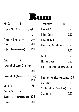

| Karibik                             | $4$ cl                   |       | Frankreich                        | $4$ cl |  |
|-------------------------------------|--------------------------|-------|-----------------------------------|--------|--|
| Papa's Pillar (Ernest Hemingway)    |                          |       | Clément VO                        | 5,50   |  |
|                                     |                          | 16,50 | Dillon(Blanc)                     | 5,50   |  |
| Pusser's Rum (Original; Gunpowder   |                          |       | Dillon XD (7 Jahre)               | 8,50   |  |
| Proof)                              |                          | 6,50  | Habitation Saint-Etienne (Blanc)  |        |  |
|                                     | Isfjord (Premium Arctic) |       |                                   | 6,50   |  |
|                                     |                          |       | <b>Isautier</b>                   | 5,50   |  |
| Kuba                                | $4$ cl                   |       | Maison la Mauny                   | 5,50   |  |
| Havana Club Verde (mit Tonic)       |                          |       | No. 1 Old Caribbean Dark Spiced   |        |  |
|                                     |                          | 5,50  |                                   | 3,50   |  |
| Havana Club (Selección de Maestros) |                          |       | Rhum des Antilles Françaises 4,50 |        |  |
|                                     |                          | 8,50  | Spytail (Black Ginger)            | 6,50   |  |
| Mount Gay                           |                          | 4,50  | St. Dominique (Rhum Blanc)        | 5,50   |  |
| Puerto Rico                         | $4$ cl                   |       | St. James                         | 5,50   |  |
| Bacardi (Superior Black Rum) 5,50   |                          |       |                                   |        |  |
| Bacardi (4 Jahre)                   |                          | 5,50  |                                   |        |  |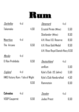

| Sechelles                       | $4$ cl |      | Dänemark                          | $4$ cl |      |
|---------------------------------|--------|------|-----------------------------------|--------|------|
| Takamaka                        |        | 4,50 | Crystal Pirate (White)            |        | 5,50 |
|                                 |        |      | Skotlander (White)                |        | 8,50 |
| Mauritius                       | $4$ cl |      | A.H. Riise X.O. Reserve           |        | 8,50 |
| The Arcane                      |        | 6,50 | A.H. Riise Gold Medal             |        | 8,50 |
|                                 |        |      | A.H. Riise Royal Danish Navy 8,50 |        |      |
| Mexiko                          | $4$ cl |      |                                   |        |      |
| El Ron Prohibido                |        | 6,50 | Deutschland                       | $4$ cl |      |
|                                 |        |      | amRum                             |        | 5,50 |
| <u>England</u>                  | $4$ cl |      | Kyle's Club (12 Jahre)            |        | 5,50 |
| HMS Victory Rum / Isle of Wight |        |      | Kyle's Club Handcrafted           |        | 4,50 |
|                                 |        | 6,50 | Rammstein                         |        | 6,50 |
|                                 |        |      |                                   |        |      |
| Calvados                        | $4$ cl |      | Sweden                            | 4 cl   |      |
| VSOP Couperné                   |        | 6,50 | Judas Priest                      |        | 6,50 |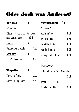### Oder doch was Anderes?

| Wodka                             | $4$ cl |      | Spirituosen                    | 4 cl   |      |
|-----------------------------------|--------|------|--------------------------------|--------|------|
| Dänemark                          |        |      | Frankreich                     |        |      |
| Råstoff (Pomegranate, Pure Liquo- |        |      | <b>Absinthe Verte</b>          |        | 6,50 |
| rice, Salty Caramel)              | 4,50   |      | Anisette Gras                  |        | 6,50 |
| Finland                           | $4$ cl |      | Henri Bardouin                 |        | 6,50 |
| Gustav Arctic Vodka               |        | 4.50 | Menthe-Pastille                |        | 6.50 |
| Schweden                          | $4$ cl |      | Cherry Rocher Génépi           |        | 6.50 |
| Lake Vättern Svensk               |        | 4.50 |                                |        |      |
|                                   |        |      | Deutschland                    |        |      |
| <b>Tequila</b>                    | $4$ cl |      | O'Donnell Harte Nuss Moonshine |        |      |
| Corralejo Añejo                   |        | 5,50 |                                |        | 5.50 |
| Corralejo Reposado                |        | 5.50 | Anden                          | $4$ cl |      |
|                                   |        |      | Cocalero auf Eis               |        | 5,50 |